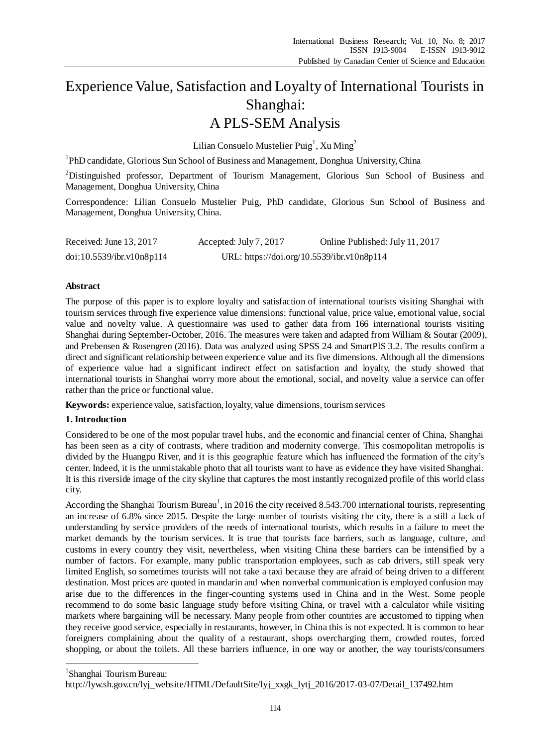# Experience Value, Satisfaction and Loyalty of International Tourists in Shanghai: A PLS-SEM Analysis

Lilian Consuelo Mustelier Puig<sup>1</sup>, Xu Ming<sup>2</sup>

<sup>1</sup>PhD candidate, Glorious Sun School of Business and Management, Donghua University, China

<sup>2</sup>Distinguished professor, Department of Tourism Management, Glorious Sun School of Business and Management, Donghua University, China

Correspondence: Lilian Consuelo Mustelier Puig, PhD candidate, Glorious Sun School of Business and Management, Donghua University, China.

| Received: June $13,2017$  | Accepted: July 7, 2017 | Online Published: July 11, 2017            |
|---------------------------|------------------------|--------------------------------------------|
| doi:10.5539/ibr.v10n8p114 |                        | URL: https://doi.org/10.5539/ibr.v10n8p114 |

# **Abstract**

The purpose of this paper is to explore loyalty and satisfaction of international tourists visiting Shanghai with tourism services through five experience value dimensions: functional value, price value, emotional value, social value and novelty value. A questionnaire was used to gather data from 166 international tourists visiting Shanghai during September-October, 2016. The measures were taken and adapted from William & Soutar (2009), and Prebensen & Rosengren (2016). Data was analyzed using SPSS 24 and SmartPlS 3.2. The results confirm a direct and significant relationship between experience value and its five dimensions. Although all the dimensions of experience value had a significant indirect effect on satisfaction and loyalty, the study showed that international tourists in Shanghai worry more about the emotional, social, and novelty value a service can offer rather than the price or functional value.

**Keywords:** experience value, satisfaction, loyalty, value dimensions, tourism services

# **1. Introduction**

Considered to be one of the most popular travel hubs, and the economic and financial center of China, Shanghai has been seen as a city of contrasts, where tradition and modernity converge. This cosmopolitan metropolis is divided by the Huangpu River, and it is this geographic feature which has influenced the formation of the city's center. Indeed, it is the unmistakable photo that all tourists want to have as evidence they have visited Shanghai. It is this riverside image of the city skyline that captures the most instantly recognized profile of this world class city.

According the Shanghai Tourism Bureau<sup>1</sup>, in 2016 the city received 8.543.700 international tourists, representing an increase of 6.8% since 2015. Despite the large number of tourists visiting the city, there is a still a lack of understanding by service providers of the needs of international tourists, which results in a failure to meet the market demands by the tourism services. It is true that tourists face barriers, such as language, culture, and customs in every country they visit, nevertheless, when visiting China these barriers can be intensified by a number of factors. For example, many public transportation employees, such as cab drivers, still speak very limited English, so sometimes tourists will not take a taxi because they are afraid of being driven to a different destination. Most prices are quoted in mandarin and when nonverbal communication is employed confusion may arise due to the differences in the finger-counting systems used in China and in the West. Some people recommend to do some basic language study before visiting China, or travel with a calculator while visiting markets where bargaining will be necessary. Many people from other countries are accustomed to tipping when they receive good service, especially in restaurants, however, in China this is not expected. It is common to hear foreigners complaining about the quality of a restaurant, shops overcharging them, crowded routes, forced shopping, or about the toilets. All these barriers influence, in one way or another, the way tourists/consumers

1

<sup>1</sup> Shanghai Tourism Bureau:

http://lyw.sh.gov.cn/lyj\_website/HTML/DefaultSite/lyj\_xxgk\_lytj\_2016/2017-03-07/Detail\_137492.htm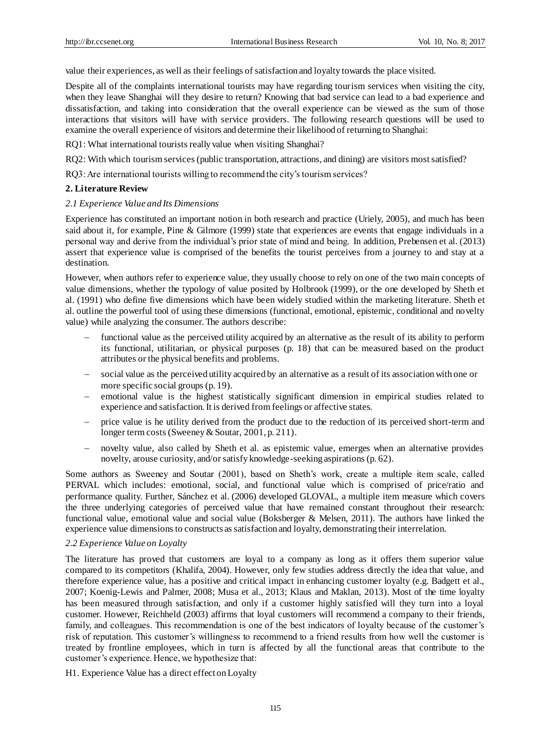value their experiences, as well as their feelings of satisfaction and loyalty towards the place visited.

Despite all of the complaints international tourists may have regarding tourism services when visiting the city, when they leave Shanghai will they desire to return? Knowing that bad service can lead to a bad experience and dissatisfaction, and taking into consideration that the overall experience can be viewed as the sum of those interactions that visitors will have with service providers. The following research questions will be used to examine the overall experience of visitors and determine their likelihood of returning to Shanghai:

RQ1: What international tourists really value when visiting Shanghai?

RQ2: With which tourism services (public transportation, attractions, and dining) are visitors most satisfied?

RQ3: Are international tourists willing to recommend the city's tourism services?

## **2. Literature Review**

#### *2.1 Experience Value and Its Dimensions*

Experience has constituted an important notion in both research and practice (Uriely, 2005), and much has been said about it, for example, Pine & Gilmore (1999) state that experiences are events that engage individuals in a personal way and derive from the individual's prior state of mind and being. In addition, Prebensen et al. (2013) assert that experience value is comprised of the benefits the tourist perceives from a journey to and stay at a destination.

However, when authors refer to experience value, they usually choose to rely on one of the two main concepts of value dimensions, whether the typology of value posited by Holbrook (1999), or the one developed by Sheth et al. (1991) who define five dimensions which have been widely studied within the marketing literature. Sheth et al. outline the powerful tool of using these dimensions (functional, emotional, epistemic, conditional and novelty value) while analyzing the consumer. The authors describe:

- functional value as the perceived utility acquired by an alternative as the result of its ability to perform its functional, utilitarian, or physical purposes (p. 18) that can be measured based on the product attributes or the physical benefits and problems.
- social value as the perceived utility acquired by an alternative as a result of its association with one or more specific social groups (p. 19).
- emotional value is the highest statistically significant dimension in empirical studies related to experience and satisfaction. It is derived from feelings or affective states.
- price value is he utility derived from the product due to the reduction of its perceived short-term and longer term costs (Sweeney & Soutar, 2001, p. 211).
- novelty value, also called by Sheth et al. as epistemic value, emerges when an alternative provides novelty, arouse curiosity, and/or satisfy knowledge-seeking aspirations (p. 62).

Some authors as Sweeney and Soutar (2001), based on Sheth's work, create a multiple item scale, called PERVAL which includes: emotional, social, and functional value which is comprised of price/ratio and performance quality. Further, Sánchez et al. (2006) developed GLOVAL, a multiple item measure which covers the three underlying categories of perceived value that have remained constant throughout their research: functional value, emotional value and social value (Boksberger & Melsen, 2011). The authors have linked the experience value dimensions to constructs as satisfaction and loyalty, demonstrating their interrelation.

#### *2.2 Experience Value on Loyalty*

The literature has proved that customers are loyal to a company as long as it offers them superior value compared to its competitors (Khalifa, 2004). However, only few studies address directly the idea that value, and therefore experience value, has a positive and critical impact in enhancing customer loyalty (e.g. Badgett et al., 2007; Koenig-Lewis and Palmer, 2008; Musa et al., 2013; Klaus and Maklan, 2013). Most of the time loyalty has been measured through satisfaction, and only if a customer highly satisfied will they turn into a loyal customer. However, Reichheld (2003) affirms that loyal customers will recommend a company to their friends, family, and colleagues. This recommendation is one of the best indicators of loyalty because of the customer's risk of reputation. This customer's willingness to recommend to a friend results from how well the customer is treated by frontline employees, which in turn is affected by all the functional areas that contribute to the customer's experience. Hence, we hypothesize that:

H1. Experience Value has a direct effect on Loyalty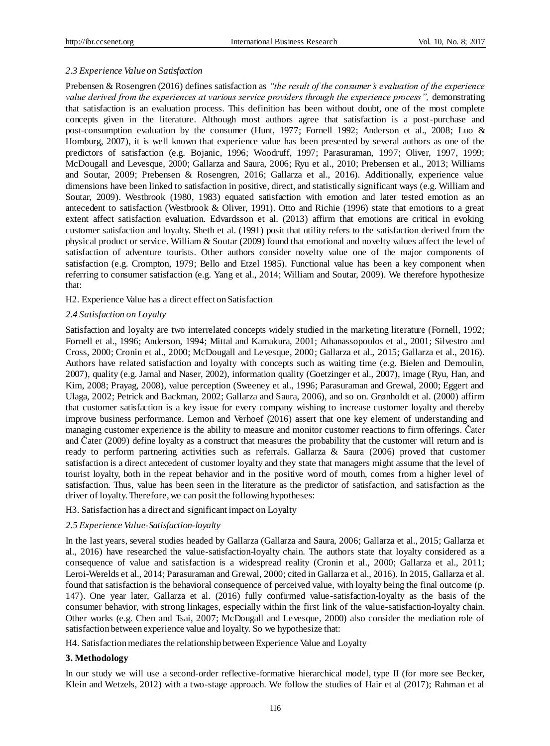## *2.3 Experience Value on Satisfaction*

Prebensen & Rosengren (2016) defines satisfaction as *"the result of the consumer's evaluation of the experience value derived from the experiences at various service providers through the experience process",* demonstrating that satisfaction is an evaluation process. This definition has been without doubt, one of the most complete concepts given in the literature. Although most authors agree that satisfaction is a post-purchase and post-consumption evaluation by the consumer (Hunt, 1977; Fornell 1992; Anderson et al., 2008; Luo & Homburg, 2007), it is well known that experience value has been presented by several authors as one of the predictors of satisfaction (e.g. Bojanic, 1996; Woodruff, 1997; Parasuraman, 1997; Oliver, 1997, 1999; McDougall and Levesque, 2000; Gallarza and Saura, 2006; Ryu et al., 2010; Prebensen et al., 2013; Williams and Soutar, 2009; Prebensen & Rosengren, 2016; Gallarza et al., 2016). Additionally, experience value dimensions have been linked to satisfaction in positive, direct, and statistically significant ways (e.g. William and Soutar, 2009). Westbrook (1980, 1983) equated satisfaction with emotion and later tested emotion as an antecedent to satisfaction (Westbrook & Oliver, 1991). Otto and Richie (1996) state that emotions to a great extent affect satisfaction evaluation. Edvardsson et al. (2013) affirm that emotions are critical in evoking customer satisfaction and loyalty. Sheth et al. (1991) posit that utility refers to the satisfaction derived from the physical product or service. William & Soutar (2009) found that emotional and novelty values affect the level of satisfaction of adventure tourists. Other authors consider novelty value one of the major components of satisfaction (e.g. Crompton, 1979; Bello and Etzel 1985). Functional value has been a key component when referring to consumer satisfaction (e.g. Yang et al., 2014; William and Soutar, 2009). We therefore hypothesize that:

H2. Experience Value has a direct effect on Satisfaction

#### *2.4 Satisfaction on Loyalty*

Satisfaction and loyalty are two interrelated concepts widely studied in the marketing literature (Fornell, 1992; Fornell et al., 1996; Anderson, 1994; Mittal and Kamakura, 2001; Athanassopoulos et al., 2001; Silvestro and Cross, 2000; Cronin et al., 2000; McDougall and Levesque, 2000; Gallarza et al., 2015; Gallarza et al., 2016). Authors have related satisfaction and loyalty with concepts such as waiting time (e.g. Bielen and Demoulin, 2007), quality (e.g. Jamal and Naser, 2002), information quality (Goetzinger et al., 2007), image (Ryu, Han, and Kim, 2008; Prayag, 2008), value perception (Sweeney et al., 1996; Parasuraman and Grewal, 2000; Eggert and Ulaga, 2002; Petrick and Backman, 2002; Gallarza and Saura, 2006), and so on. Grønholdt et al. (2000) affirm that customer satisfaction is a key issue for every company wishing to increase customer loyalty and thereby improve business performance. Lemon and Verhoef (2016) assert that one key element of understanding and managing customer experience is the ability to measure and monitor customer reactions to firm offerings. Čater and Čater (2009) define loyalty as a construct that measures the probability that the customer will return and is ready to perform partnering activities such as referrals. Gallarza & Saura (2006) proved that customer satisfaction is a direct antecedent of customer loyalty and they state that managers might assume that the level of tourist loyalty, both in the repeat behavior and in the positive word of mouth, comes from a higher level of satisfaction. Thus, value has been seen in the literature as the predictor of satisfaction, and satisfaction as the driver of loyalty. Therefore, we can posit the following hypotheses:

#### H3. Satisfaction has a direct and significant impact on Loyalty

#### *2.5 Experience Value-Satisfaction-loyalty*

In the last years, several studies headed by Gallarza (Gallarza and Saura, 2006; Gallarza et al., 2015; Gallarza et al., 2016) have researched the value-satisfaction-loyalty chain. The authors state that loyalty considered as a consequence of value and satisfaction is a widespread reality (Cronin et al., 2000; Gallarza et al., 2011; Leroi-Werelds et al., 2014; Parasuraman and Grewal, 2000; cited in Gallarza et al., 2016). In 2015, Gallarza et al. found that satisfaction is the behavioral consequence of perceived value, with loyalty being the final outcome (p. 147). One year later, Gallarza et al. (2016) fully confirmed value-satisfaction-loyalty as the basis of the consumer behavior, with strong linkages, especially within the first link of the value-satisfaction-loyalty chain. Other works (e.g. Chen and Tsai, 2007; McDougall and Levesque, 2000) also consider the mediation role of satisfaction between experience value and loyalty. So we hypothesize that:

H4. Satisfaction mediates the relationship between Experience Value and Loyalty

## **3. Methodology**

In our study we will use a second-order reflective-formative hierarchical model, type II (for more see Becker, Klein and Wetzels, 2012) with a two-stage approach. We follow the studies of Hair et al (2017); Rahman et al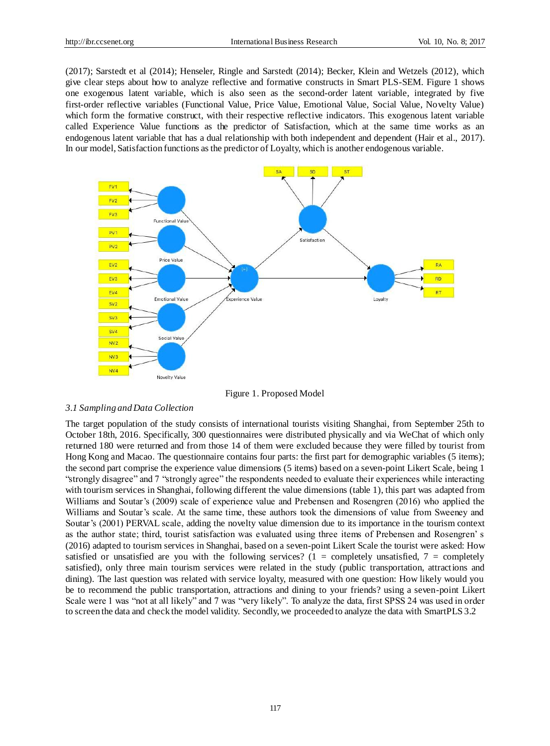(2017); Sarstedt et al (2014); Henseler, Ringle and Sarstedt (2014); Becker, Klein and Wetzels (2012), which give clear steps about how to analyze reflective and formative constructs in Smart PLS-SEM. Figure 1 shows one exogenous latent variable, which is also seen as the second-order latent variable, integrated by five first-order reflective variables (Functional Value, Price Value, Emotional Value, Social Value, Novelty Value) which form the formative construct, with their respective reflective indicators. This exogenous latent variable called Experience Value functions as the predictor of Satisfaction, which at the same time works as an endogenous latent variable that has a dual relationship with both independent and dependent (Hair et al., 2017). In our model, Satisfaction functions as the predictor of Loyalty, which is another endogenous variable.



Figure 1. Proposed Model

# *3.1 Sampling and Data Collection*

The target population of the study consists of international tourists visiting Shanghai, from September 25th to October 18th, 2016. Specifically, 300 questionnaires were distributed physically and via WeChat of which only returned 180 were returned and from those 14 of them were excluded because they were filled by tourist from Hong Kong and Macao. The questionnaire contains four parts: the first part for demographic variables (5 items); the second part comprise the experience value dimensions (5 items) based on a seven-point Likert Scale, being 1 "strongly disagree" and 7 "strongly agree" the respondents needed to evaluate their experiences while interacting with tourism services in Shanghai, following different the value dimensions (table 1), this part was adapted from Williams and Soutar's (2009) scale of experience value and Prebensen and Rosengren (2016) who applied the Williams and Soutar's scale. At the same time, these authors took the dimensions of value from Sweeney and Soutar's (2001) PERVAL scale, adding the novelty value dimension due to its importance in the tourism context as the author state; third, tourist satisfaction was evaluated using three items of Prebensen and Rosengren' s (2016) adapted to tourism services in Shanghai, based on a seven-point Likert Scale the tourist were asked: How satisfied or unsatisfied are you with the following services? ( $1 =$  completely unsatisfied,  $7 =$  completely satisfied), only three main tourism services were related in the study (public transportation, attractions and dining). The last question was related with service loyalty, measured with one question: How likely would you be to recommend the public transportation, attractions and dining to your friends? using a seven-point Likert Scale were 1 was "not at all likely" and 7 was "very likely". To analyze the data, first SPSS 24 was used in order to screen the data and check the model validity. Secondly, we proceeded to analyze the data with SmartPLS 3.2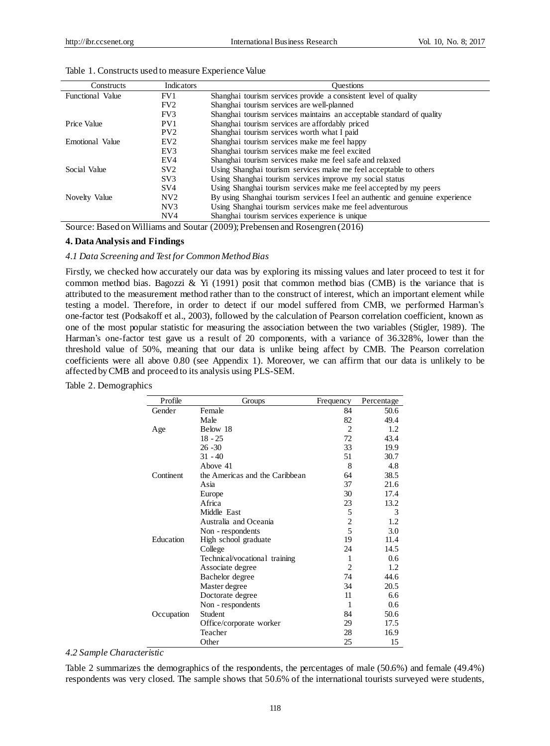| Constructs       | Indicators       | <b>Ouestions</b>                                                              |
|------------------|------------------|-------------------------------------------------------------------------------|
| Functional Value | FV1              | Shanghai tourism services provide a consistent level of quality               |
|                  | FV <sub>2</sub>  | Shanghai tourism services are well-planned                                    |
|                  | FV3              | Shanghai tourism services maintains an acceptable standard of quality         |
| Price Value      | PV <sub>1</sub>  | Shanghai tourism services are affordably priced                               |
|                  | PV <sub>2</sub>  | Shanghai tourism services worth what I paid                                   |
| Emotional Value  | EV <sub>2</sub>  | Shanghai tourism services make me feel happy                                  |
|                  | EV <sub>3</sub>  | Shanghai tourism services make me feel excited                                |
|                  | EV4              | Shanghai tourism services make me feel safe and relaxed                       |
| Social Value     | SV <sub>2</sub>  | Using Shanghai tourism services make me feel acceptable to others             |
|                  | SV <sub>3</sub>  | Using Shanghai tourism services improve my social status                      |
|                  | SV4              | Using Shanghai tourism services make me feel accepted by my peers             |
| Novelty Value    | N <sub>V</sub> 2 | By using Shanghai tourism services I feel an authentic and genuine experience |
|                  | N <sub>V</sub> 3 | Using Shanghai tourism services make me feel adventurous                      |
|                  | NV4              | Shanghai tourism services experience is unique                                |

Table 1. Constructs used to measure Experience Value

Source: Based on Williams and Soutar (2009); Prebensen and Rosengren (2016)

### **4. Data Analysis and Findings**

# *4.1 Data Screening and Test for Common Method Bias*

Firstly, we checked how accurately our data was by exploring its missing values and later proceed to test it for common method bias. Bagozzi & Yi (1991) posit that common method bias (CMB) is the variance that is attributed to the measurement method rather than to the construct of interest, which an important element while testing a model. Therefore, in order to detect if our model suffered from CMB, we performed Harman's one-factor test (Podsakoff et al., 2003), followed by the calculation of Pearson correlation coefficient, known as one of the most popular statistic for measuring the association between the two variables (Stigler, 1989). The Harman's one-factor test gave us a result of 20 components, with a variance of 36.328%, lower than the threshold value of 50%, meaning that our data is unlike being affect by CMB. The Pearson correlation coefficients were all above 0.80 (see Appendix 1). Moreover, we can affirm that our data is unlikely to be affected by CMB and proceed to its analysis using PLS-SEM.

#### Table 2. Demographics

| Profile    | Groups                         | Frequency      | Percentage |
|------------|--------------------------------|----------------|------------|
| Gender     | Female                         | 84             | 50.6       |
|            | Male                           | 82             | 49.4       |
| Age        | Below 18                       | $\mathfrak{D}$ | 1.2        |
|            | $18 - 25$                      | 72             | 43.4       |
|            | $26 - 30$                      | 33             | 19.9       |
|            | $31 - 40$                      | 51             | 30.7       |
|            | Above 41                       | 8              | 4.8        |
| Continent  | the Americas and the Caribbean | 64             | 38.5       |
|            | Asia                           | 37             | 21.6       |
|            | Europe                         | 30             | 17.4       |
|            | Africa                         | 23             | 13.2       |
|            | Middle East                    | 5              | 3          |
|            | Australia and Oceania          | $\overline{c}$ | 1.2        |
|            | Non - respondents              | 5              | 3.0        |
| Education  | High school graduate           | 19             | 11.4       |
|            | College                        | 24             | 14.5       |
|            | Technical/vocational training  | 1              | 0.6        |
|            | Associate degree               | 2              | 1.2        |
|            | Bachelor degree                | 74             | 44.6       |
|            | Master degree                  | 34             | 20.5       |
|            | Doctorate degree               | 11             | 6.6        |
|            | Non - respondents              | 1              | 0.6        |
| Occupation | Student                        | 84             | 50.6       |
|            | Office/corporate worker        | 29             | 17.5       |
|            | Teacher                        | 28             | 16.9       |
|            | Other                          | 25             | 15         |

*4.2 Sample Characteristic* 

Table 2 summarizes the demographics of the respondents, the percentages of male (50.6%) and female (49.4%) respondents was very closed. The sample shows that 50.6% of the international tourists surveyed were students,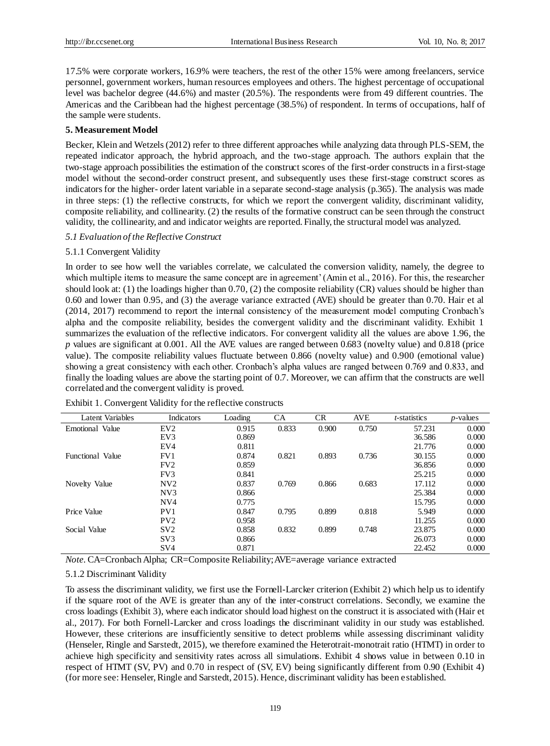17.5% were corporate workers, 16.9% were teachers, the rest of the other 15% were among freelancers, service personnel, government workers, human resources employees and others. The highest percentage of occupational level was bachelor degree (44.6%) and master (20.5%). The respondents were from 49 different countries. The Americas and the Caribbean had the highest percentage (38.5%) of respondent. In terms of occupations, half of the sample were students.

## **5. Measurement Model**

Becker, Klein and Wetzels (2012) refer to three different approaches while analyzing data through PLS-SEM, the repeated indicator approach, the hybrid approach, and the two-stage approach. The authors explain that the two-stage approach possibilities the estimation of the construct scores of the first-order constructs in a first-stage model without the second-order construct present, and subsequently uses these first-stage construct scores as indicators for the higher- order latent variable in a separate second-stage analysis (p.365). The analysis was made in three steps: (1) the reflective constructs, for which we report the convergent validity, discriminant validity, composite reliability, and collinearity. (2) the results of the formative construct can be seen through the construct validity, the collinearity, and and indicator weights are reported. Finally, the structural model was analyzed.

#### *5.1 Evaluation of the Reflective Construct*

#### 5.1.1 Convergent Validity

In order to see how well the variables correlate, we calculated the conversion validity, namely, the degree to which multiple items to measure the same concept are in agreement' (Amin et al., 2016). For this, the researcher should look at: (1) the loadings higher than 0.70, (2) the composite reliability (CR) values should be higher than 0.60 and lower than 0.95, and (3) the average variance extracted (AVE) should be greater than 0.70. Hair et al (2014, 2017) recommend to report the internal consistency of the measurement model computing Cronbach's alpha and the composite reliability, besides the convergent validity and the discriminant validity. Exhibit 1 summarizes the evaluation of the reflective indicators. For convergent validity all the values are above 1.96, the *p* values are significant at 0.001. All the AVE values are ranged between 0.683 (novelty value) and 0.818 (price value). The composite reliability values fluctuate between 0.866 (novelty value) and 0.900 (emotional value) showing a great consistency with each other. Cronbach's alpha values are ranged between 0.769 and 0.833, and finally the loading values are above the starting point of 0.7. Moreover, we can affirm that the constructs are well correlated and the convergent validity is proved.

| Latent Variables | Indicators       | Loading | <b>CA</b> | CR    | <b>AVE</b> | <i>t</i> -statistics | $p$ -values |
|------------------|------------------|---------|-----------|-------|------------|----------------------|-------------|
| Emotional Value  | EV <sub>2</sub>  | 0.915   | 0.833     | 0.900 | 0.750      | 57.231               | 0.000       |
|                  | EV3              | 0.869   |           |       |            | 36.586               | 0.000       |
|                  | EV4              | 0.811   |           |       |            | 21.776               | 0.000       |
| Functional Value | FV1              | 0.874   | 0.821     | 0.893 | 0.736      | 30.155               | 0.000       |
|                  | FV <sub>2</sub>  | 0.859   |           |       |            | 36.856               | 0.000       |
|                  | FV <sub>3</sub>  | 0.841   |           |       |            | 25.215               | 0.000       |
| Novelty Value    | N <sub>V</sub> 2 | 0.837   | 0.769     | 0.866 | 0.683      | 17.112               | 0.000       |
|                  | N <sub>V</sub> 3 | 0.866   |           |       |            | 25.384               | 0.000       |
|                  | NV <sub>4</sub>  | 0.775   |           |       |            | 15.795               | 0.000       |
| Price Value      | PV <sub>1</sub>  | 0.847   | 0.795     | 0.899 | 0.818      | 5.949                | 0.000       |
|                  | PV2              | 0.958   |           |       |            | 11.255               | 0.000       |
| Social Value     | SV2              | 0.858   | 0.832     | 0.899 | 0.748      | 23.875               | 0.000       |
|                  | SV3              | 0.866   |           |       |            | 26.073               | 0.000       |
|                  | SV4              | 0.871   |           |       |            | 22.452               | 0.000       |

Exhibit 1. Convergent Validity for the reflective constructs

*Note.* CA=Cronbach Alpha; CR=Composite Reliability; AVE=average variance extracted

#### 5.1.2 Discriminant Validity

To assess the discriminant validity, we first use the Fornell-Larcker criterion (Exhibit 2) which help us to identify if the square root of the AVE is greater than any of the inter-construct correlations. Secondly, we examine the cross loadings (Exhibit 3), where each indicator should load highest on the construct it is associated with (Hair et al., 2017). For both Fornell-Larcker and cross loadings the discriminant validity in our study was established. However, these criterions are insufficiently sensitive to detect problems while assessing discriminant validity (Henseler, Ringle and Sarstedt, 2015), we therefore examined the Heterotrait-monotrait ratio (HTMT) in order to achieve high specificity and sensitivity rates across all simulations. Exhibit 4 shows value in between 0.10 in respect of HTMT (SV, PV) and 0.70 in respect of (SV, EV) being significantly different from 0.90 (Exhibit 4) (for more see: Henseler, Ringle and Sarstedt, 2015). Hence, discriminant validity has been established.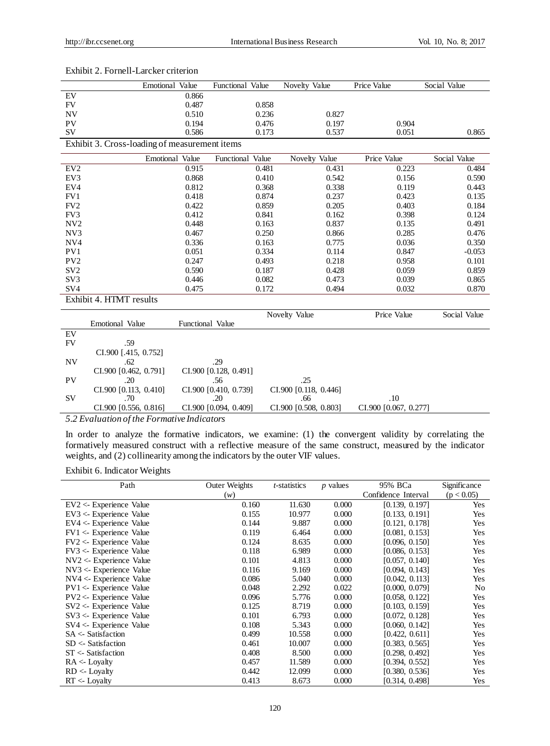|                 |                                               | Emotional Value |                  | Functional Value      |       | Novelty Value         |       | Price Value           | Social Value |
|-----------------|-----------------------------------------------|-----------------|------------------|-----------------------|-------|-----------------------|-------|-----------------------|--------------|
| EV              |                                               |                 | 0.866            |                       |       |                       |       |                       |              |
| <b>FV</b>       |                                               |                 | 0.487            |                       | 0.858 |                       |       |                       |              |
| <b>NV</b>       |                                               |                 | 0.510            |                       | 0.236 |                       | 0.827 |                       |              |
| PV              |                                               |                 | 0.194            |                       | 0.476 |                       | 0.197 | 0.904                 |              |
| <b>SV</b>       |                                               |                 | 0.586            |                       | 0.173 |                       | 0.537 | 0.051                 | 0.865        |
|                 | Exhibit 3. Cross-loading of measurement items |                 |                  |                       |       |                       |       |                       |              |
|                 |                                               | Emotional Value |                  | Functional Value      |       | Novelty Value         |       | Price Value           | Social Value |
| EV <sub>2</sub> |                                               |                 | 0.915            |                       | 0.481 |                       | 0.431 | 0.223                 | 0.484        |
| EV3             |                                               |                 | 0.868            |                       | 0.410 |                       | 0.542 | 0.156                 | 0.590        |
| EV4             |                                               |                 | 0.812            |                       | 0.368 |                       | 0.338 | 0.119                 | 0.443        |
| FV1             |                                               |                 | 0.418            |                       | 0.874 |                       | 0.237 | 0.423                 | 0.135        |
| FV <sub>2</sub> |                                               |                 | 0.422            |                       | 0.859 |                       | 0.205 | 0.403                 | 0.184        |
| FV3             |                                               |                 | 0.412            |                       | 0.841 |                       | 0.162 | 0.398                 | 0.124        |
| NV <sub>2</sub> |                                               |                 | 0.448            |                       | 0.163 |                       | 0.837 | 0.135                 | 0.491        |
| NV3             |                                               |                 | 0.467            |                       | 0.250 |                       | 0.866 | 0.285                 | 0.476        |
| NV4             |                                               |                 | 0.336            |                       | 0.163 |                       | 0.775 | 0.036                 | 0.350        |
| PV1             |                                               |                 | 0.051            |                       | 0.334 |                       | 0.114 | 0.847                 | $-0.053$     |
| PV <sub>2</sub> |                                               |                 | 0.247            |                       | 0.493 |                       | 0.218 | 0.958                 | 0.101        |
| SV <sub>2</sub> |                                               |                 | 0.590            |                       | 0.187 |                       | 0.428 | 0.059                 | 0.859        |
| SV3             |                                               |                 | 0.446            |                       | 0.082 |                       | 0.473 | 0.039                 | 0.865        |
| SV <sub>4</sub> |                                               |                 | 0.475            |                       | 0.172 |                       | 0.494 | 0.032                 | 0.870        |
|                 | Exhibit 4. HTMT results                       |                 |                  |                       |       |                       |       |                       |              |
|                 |                                               |                 |                  |                       |       | Novelty Value         |       | Price Value           | Social Value |
|                 | Emotional Value                               |                 | Functional Value |                       |       |                       |       |                       |              |
| EV              |                                               |                 |                  |                       |       |                       |       |                       |              |
| FV              | .59                                           |                 |                  |                       |       |                       |       |                       |              |
|                 | CI.900 [.415, 0.752]                          |                 |                  |                       |       |                       |       |                       |              |
| <b>NV</b>       | .62                                           |                 |                  | .29                   |       |                       |       |                       |              |
|                 | CI.900 [0.462, 0.791]                         |                 |                  | CI.900 [0.128, 0.491] |       |                       |       |                       |              |
| PV              | .20                                           |                 |                  | .56                   |       | .25                   |       |                       |              |
|                 | CI.900 [0.113, 0.410]                         |                 |                  | CI.900 [0.410, 0.739] |       | CI.900 [0.118, 0.446] |       |                       |              |
| SV              | .70                                           |                 |                  | .20                   |       | .66                   |       | .10                   |              |
|                 | CI.900 [0.556, 0.816]                         |                 |                  | CI.900 [0.094, 0.409] |       | CI.900 [0.508, 0.803] |       | CI.900 [0.067, 0.277] |              |

#### Exhibit 2. Fornell-Larcker criterion

*5.2 Evaluation of the Formative Indicators* 

In order to analyze the formative indicators, we examine: (1) the convergent validity by correlating the formatively measured construct with a reflective measure of the same construct, measured by the indicator weights, and (2) collinearity among the indicators by the outer VIF values.

# Exhibit 6. Indicator Weights

| Path                              | <b>Outer Weights</b> | <i>t</i> -statistics | $p$ values | 95% BCa             | Significance |
|-----------------------------------|----------------------|----------------------|------------|---------------------|--------------|
|                                   | (w)                  |                      |            | Confidence Interval | (p < 0.05)   |
| $EV2 <$ Experience Value          | 0.160                | 11.630               | 0.000      | [0.139, 0.197]      | Yes          |
| $EV3 \leq$ Experience Value       | 0.155                | 10.977               | 0.000      | [0.133, 0.191]      | Yes          |
| $EV4 \leftarrow$ Experience Value | 0.144                | 9.887                | 0.000      | [0.121, 0.178]      | Yes          |
| $FV1 \leq$ Experience Value       | 0.119                | 6.464                | 0.000      | [0.081, 0.153]      | Yes          |
| $FV2 \leq$ Experience Value       | 0.124                | 8.635                | 0.000      | [0.096, 0.150]      | Yes          |
| $FV3 \leftarrow$ Experience Value | 0.118                | 6.989                | 0.000      | [0.086, 0.153]      | <b>Yes</b>   |
| $NV2$ <- Experience Value         | 0.101                | 4.813                | 0.000      | [0.057, 0.140]      | Yes          |
| $NV3 <$ Experience Value          | 0.116                | 9.169                | 0.000      | [0.094, 0.143]      | Yes          |
| $NVA < Ex$ perience Value         | 0.086                | 5.040                | 0.000      | [0.042, 0.113]      | Yes          |
| PV1 <- Experience Value           | 0.048                | 2.292                | 0.022      | [0.000, 0.079]      | No           |
| $PV2 <$ - Experience Value        | 0.096                | 5.776                | 0.000      | [0.058, 0.122]      | Yes          |
| $SV2 <$ - Experience Value        | 0.125                | 8.719                | 0.000      | [0.103, 0.159]      | <b>Yes</b>   |
| $SV3 <$ - Experience Value        | 0.101                | 6.793                | 0.000      | [0.072, 0.128]      | Yes          |
| $SV4 <$ - Experience Value        | 0.108                | 5.343                | 0.000      | [0.060, 0.142]      | Yes          |
| SA <- Satisfaction                | 0.499                | 10.558               | 0.000      | [0.422, 0.611]      | Yes          |
| $SD <$ - Satisfaction             | 0.461                | 10.007               | 0.000      | [0.383, 0.565]      | Yes          |
| $ST <$ - Satisfaction             | 0.408                | 8.500                | 0.000      | [0.298, 0.492]      | Yes          |
| $RA <$ - Loyalty                  | 0.457                | 11.589               | 0.000      | [0.394, 0.552]      | Yes.         |
| RD < Loyalty                      | 0.442                | 12.099               | 0.000      | [0.380, 0.536]      | Yes          |
| $RT <$ - Loyalty                  | 0.413                | 8.673                | 0.000      | [0.314, 0.498]      | Yes          |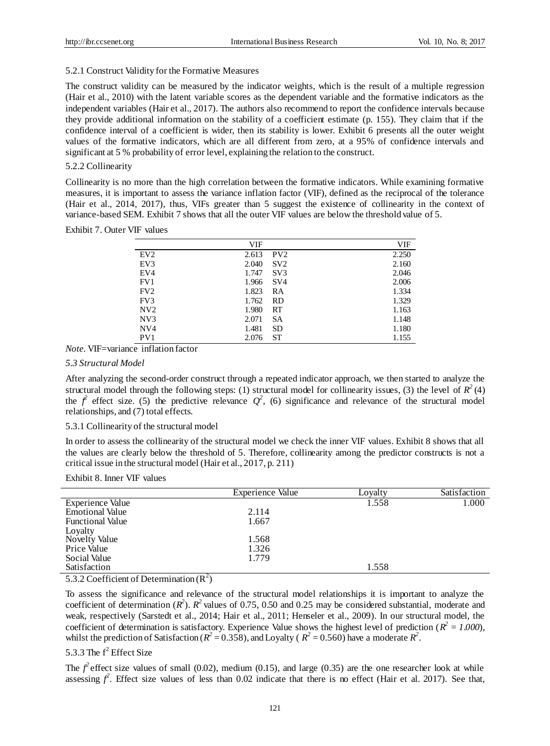#### 5.2.1 Construct Validity for the Formative Measures

The construct validity can be measured by the indicator weights, which is the result of a multiple regression (Hair et al., 2010) with the latent variable scores as the dependent variable and the formative indicators as the independent variables (Hair et al., 2017). The authors also recommend to report the confidence intervals because they provide additional information on the stability of a coefficient estimate (p. 155). They claim that if the confidence interval of a coefficient is wider, then its stability is lower. Exhibit 6 presents all the outer weight values of the formative indicators, which are all different from zero, at a 95% of confidence intervals and significant at 5 % probability of error level, explaining the relation to the construct.

#### 5.2.2 Collinearity

Collinearity is no more than the high correlation between the formative indicators. While examining formative measures, it is important to assess the variance inflation factor (VIF), defined as the reciprocal of the tolerance (Hair et al., 2014, 2017), thus, VIFs greater than 5 suggest the existence of collinearity in the context of variance-based SEM. Exhibit 7 shows that all the outer VIF values are below the threshold value of 5.

|                  | VIF   |                 | VIF   |
|------------------|-------|-----------------|-------|
| EV <sub>2</sub>  | 2.613 | PV <sub>2</sub> | 2.250 |
| EV <sub>3</sub>  | 2.040 | SV2             | 2.160 |
| EV4              | 1.747 | SV <sub>3</sub> | 2.046 |
| FV1              | 1.966 | SV <sub>4</sub> | 2.006 |
| FV <sub>2</sub>  | 1.823 | RA              | 1.334 |
| FV3              | 1.762 | <b>RD</b>       | 1.329 |
| NV <sub>2</sub>  | 1.980 | RT              | 1.163 |
| N <sub>V</sub> 3 | 2.071 | <b>SA</b>       | 1.148 |
| NV4              | 1.481 | <b>SD</b>       | 1.180 |
| PV1              | 2.076 | ST              | 1.155 |

*Note.* VIF=variance inflation factor

#### *5.3 Structural Model*

After analyzing the second-order construct through a repeated indicator approach, we then started to analyze the structural model through the following steps: (1) structural model for collinearity issues, (3) the level of  $R^2(4)$ the  $\hat{f}$  effect size. (5) the predictive relevance  $Q^2$ , (6) significance and relevance of the structural model relationships, and (7) total effects.

#### 5.3.1 Collinearity of the structural model

In order to assess the collinearity of the structural model we check the inner VIF values. Exhibit 8 shows that all the values are clearly below the threshold of 5. Therefore, collinearity among the predictor constructs is not a critical issue in the structural model (Hair et al., 2017, p. 211)

Exhibit 8. Inner VIF values

|                         | Experience Value | Lovalty | Satisfaction |
|-------------------------|------------------|---------|--------------|
| <b>Experience Value</b> |                  | 1.558   | 1.000        |
| <b>Emotional Value</b>  | 2.114            |         |              |
| <b>Functional Value</b> | 1.667            |         |              |
| Loyalty                 |                  |         |              |
| Novelty Value           | 1.568            |         |              |
| Price Value             | 1.326            |         |              |
| Social Value            | 1.779            |         |              |
| Satisfaction            |                  | 1.558   |              |

5.3.2 Coefficient of Determination  $(R^2)$ 

To assess the significance and relevance of the structural model relationships it is important to analyze the coefficient of determination  $(R^2)$ .  $R^2$  values of 0.75, 0.50 and 0.25 may be considered substantial, moderate and weak, respectively (Sarstedt et al., 2014; Hair et al., 2011; Henseler et al., 2009). In our structural model, the coefficient of determination is satisfactory. Experience Value shows the highest level of prediction ( $R^2 = 1.000$ ), whilst the prediction of Satisfaction ( $R^2 = 0.358$ ), and Loyalty ( $R^2 = 0.560$ ) have a moderate  $R^2$ .

# 5.3.3 The  $f^2$  Effect Size

The  $f^2$  effect size values of small (0.02), medium (0.15), and large (0.35) are the one researcher look at while assessing  $f^2$ . Effect size values of less than 0.02 indicate that there is no effect (Hair et al. 2017). See that,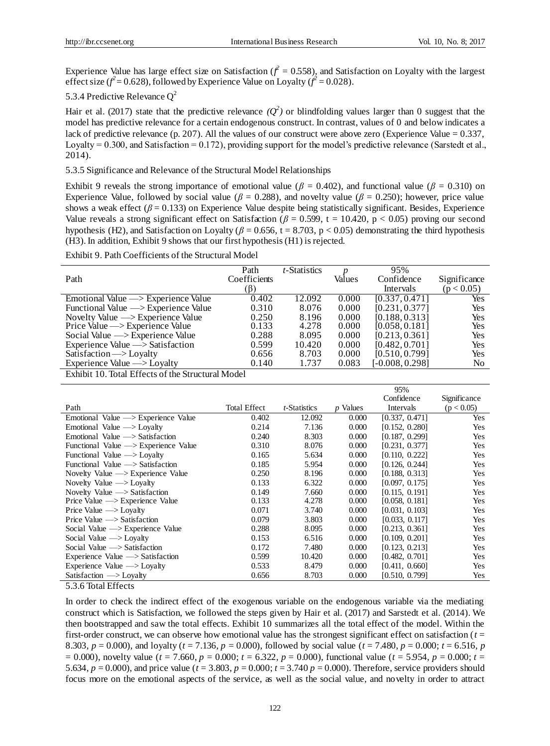Experience Value has large effect size on Satisfaction  $(f^2 = 0.558)$ , and Satisfaction on Loyalty with the largest effect size ( $f^2$  = 0.628), followed by Experience Value on Loyalty ( $f^2$  = 0.028).

# 5.3.4 Predictive Relevance  $Q^2$

Hair et al. (2017) state that the predictive relevance  $(Q^2)$  or blindfolding values larger than 0 suggest that the model has predictive relevance for a certain endogenous construct. In contrast, values of 0 and below indicates a lack of predictive relevance (p. 207). All the values of our construct were above zero (Experience Value = 0.337, Loyalty = 0.300, and Satisfaction = 0.172), providing support for the model's predictive relevance (Sarstedt et al., 2014).

#### 5.3.5 Significance and Relevance of the Structural Model Relationships

Exhibit 9 reveals the strong importance of emotional value ( $\beta = 0.402$ ), and functional value ( $\beta = 0.310$ ) on Experience Value, followed by social value ( $\beta$  = 0.288), and novelty value ( $\beta$  = 0.250); however, price value shows a weak effect (*β* = 0.133) on Experience Value despite being statistically significant. Besides, Experience Value reveals a strong significant effect on Satisfaction ( $\beta$  = 0.599, t = 10.420, p < 0.05) proving our second hypothesis (H2), and Satisfaction on Loyalty ( $\beta$  = 0.656, t = 8.703, p < 0.05) demonstrating the third hypothesis (H3). In addition, Exhibit 9 shows that our first hypothesis (H1) is rejected.

Exhibit 9. Path Coefficients of the Structural Model

|                                                           | Path         | t-Statistics | $\boldsymbol{D}$ | 95%               |              |
|-----------------------------------------------------------|--------------|--------------|------------------|-------------------|--------------|
| Path                                                      | Coefficients |              | Values           | Confidence        | Significance |
|                                                           | (ß)          |              |                  | Intervals         | (p < 0.05)   |
| Emotional Value $\overline{\rightarrow}$ Experience Value | 0.402        | 12.092       | 0.000            | [0.337, 0.471]    | Yes          |
| Functional Value —> Experience Value                      | 0.310        | 8.076        | 0.000            | [0.231, 0.377]    | Yes          |
| Novelty Value $\Longrightarrow$ Experience Value          | 0.250        | 8.196        | 0.000            | [0.188, 0.313]    | Yes          |
| Price Value $\longrightarrow$ Experience Value            | 0.133        | 4.278        | 0.000            | [0.058, 0.181]    | Yes          |
| Social Value -> Experience Value                          | 0.288        | 8.095        | 0.000            | [0.213, 0.361]    | Yes          |
| Experience Value $\longrightarrow$ Satisfaction           | 0.599        | 10.420       | 0.000            | [0.482, 0.701]    | Yes          |
| Satisfaction $\longrightarrow$ Loyalty                    | 0.656        | 8.703        | 0.000            | [0.510, 0.799]    | Yes          |
| Experience Value $\Longrightarrow$ Loyalty                | 0.140        | 1.737        | 0.083            | $[-0.008, 0.298]$ | No.          |
| Exhibit 10. Total Effects of the Structural Model         |              |              |                  |                   |              |

|                                                     |                     |                      |                 | 95%            |              |
|-----------------------------------------------------|---------------------|----------------------|-----------------|----------------|--------------|
|                                                     |                     |                      |                 | Confidence     | Significance |
| Path                                                | <b>Total Effect</b> | <i>t</i> -Statistics | <i>p</i> Values | Intervals      | (p < 0.05)   |
| Emotional Value -> Experience Value                 | 0.402               | 12.092               | 0.000           | [0.337, 0.471] | Yes          |
| Emotional Value $\Longrightarrow$ Loyalty           | 0.214               | 7.136                | 0.000           | [0.152, 0.280] | Yes          |
| Emotional Value $\Longrightarrow$ Satisfaction      | 0.240               | 8.303                | 0.000           | [0.187, 0.299] | Yes          |
| Functional Value $\Longrightarrow$ Experience Value | 0.310               | 8.076                | 0.000           | [0.231, 0.377] | Yes          |
| Functional Value $\Longrightarrow$ Loyalty          | 0.165               | 5.634                | 0.000           | [0.110, 0.222] | Yes          |
| Functional Value $\Longrightarrow$ Satisfaction     | 0.185               | 5.954                | 0.000           | [0.126, 0.244] | Yes          |
| Novelty Value $\Longrightarrow$ Experience Value    | 0.250               | 8.196                | 0.000           | [0.188, 0.313] | Yes          |
| Novelty Value $\Longrightarrow$ Loyalty             | 0.133               | 6.322                | 0.000           | [0.097, 0.175] | Yes          |
| Novelty Value $\Longrightarrow$ Satisfaction        | 0.149               | 7.660                | 0.000           | [0.115, 0.191] | Yes          |
| Price Value $\Longrightarrow$ Experience Value      | 0.133               | 4.278                | 0.000           | [0.058, 0.181] | Yes          |
| Price Value $\Longrightarrow$ Loyalty               | 0.071               | 3.740                | 0.000           | [0.031, 0.103] | Yes          |
| Price Value $\Longrightarrow$ Satisfaction          | 0.079               | 3.803                | 0.000           | [0.033, 0.117] | Yes          |
| Social Value $\longrightarrow$ Experience Value     | 0.288               | 8.095                | 0.000           | [0.213, 0.361] | Yes          |
| Social Value $\Longrightarrow$ Loyalty              | 0.153               | 6.516                | 0.000           | [0.109, 0.201] | Yes          |
| Social Value $\Longrightarrow$ Satisfaction         | 0.172               | 7.480                | 0.000           | [0.123, 0.213] | Yes          |
| Experience Value $\rightarrow$ Satisfaction         | 0.599               | 10.420               | 0.000           | [0.482, 0.701] | Yes          |
| Experience Value $\longrightarrow$ Loyalty          | 0.533               | 8.479                | 0.000           | [0.411, 0.660] | Yes          |
| Satisfaction $\Longrightarrow$ Loyalty              | 0.656               | 8.703                | 0.000           | [0.510, 0.799] | Yes          |

5.3.6 Total Effects

In order to check the indirect effect of the exogenous variable on the endogenous variable via the mediating construct which is Satisfaction, we followed the steps given by Hair et al. (2017) and Sarstedt et al. (2014). We then bootstrapped and saw the total effects. Exhibit 10 summarizes all the total effect of the model. Within the first-order construct, we can observe how emotional value has the strongest significant effect on satisfaction (*t* = 8.303,  $p = 0.000$ ), and loyalty ( $t = 7.136$ ,  $p = 0.000$ ), followed by social value ( $t = 7.480$ ,  $p = 0.000$ ;  $t = 6.516$ ,  $p = 0.000$ = 0.000), novelty value (*t* = 7.660, *p* = 0.000; *t* = 6.322, *p* = 0.000), functional value (*t* = 5.954, *p* = 0.000; *t* = 5.634, *p* = 0.000), and price value (*t* = 3.803, *p* = 0.000; *t* = 3.740 *p* = 0.000). Therefore, service providers should focus more on the emotional aspects of the service, as well as the social value, and novelty in order to attract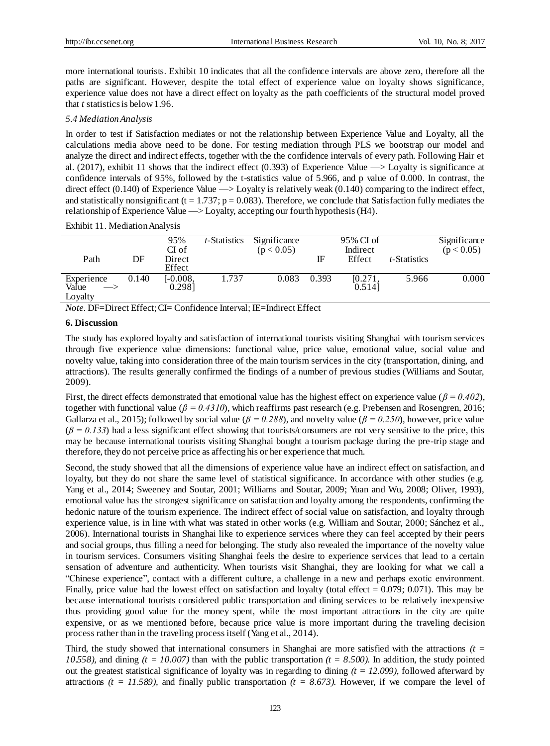more international tourists. Exhibit 10 indicates that all the confidence intervals are above zero, therefore all the paths are significant. However, despite the total effect of experience value on loyalty shows significance, experience value does not have a direct effect on loyalty as the path coefficients of the structural model proved that *t* statistics is below 1.96.

#### *5.4 Mediation Analysis*

In order to test if Satisfaction mediates or not the relationship between Experience Value and Loyalty, all the calculations media above need to be done. For testing mediation through PLS we bootstrap our model and analyze the direct and indirect effects, together with the the confidence intervals of every path. Following Hair et al. (2017), exhibit 11 shows that the indirect effect (0.393) of Experience Value —> Loyalty is significance at confidence intervals of 95%, followed by the t-statistics value of 5.966, and p value of 0.000. In contrast, the direct effect (0.140) of Experience Value  $\rightarrow$  Loyalty is relatively weak (0.140) comparing to the indirect effect, and statistically nonsignificant ( $t = 1.737$ ;  $p = 0.083$ ). Therefore, we conclude that Satisfaction fully mediates the relationship of Experience Value —> Loyalty, accepting our fourth hypothesis (H4).

Exhibit 11. Mediation Analysis

| Path                                            | DF    | 95%<br>CI of<br>Direct<br>Effect | <i>t</i> -Statistics | Significance<br>(p < 0.05) | IF    | 95% CI of<br>Indirect<br>Effect | t-Statistics | Significance<br>(p < 0.05) |
|-------------------------------------------------|-------|----------------------------------|----------------------|----------------------------|-------|---------------------------------|--------------|----------------------------|
| Experience<br>Value<br>$\rightarrow$<br>Loyalty | 0.140 | $I-0.008,$<br>0.2981             | 1.737                | 0.083                      | 0.393 | [0.271]<br>0.5141               | 5.966        | 0.000                      |

*Note.* DF=Direct Effect; CI= Confidence Interval; IE=Indirect Effect

#### **6. Discussion**

The study has explored loyalty and satisfaction of international tourists visiting Shanghai with tourism services through five experience value dimensions: functional value, price value, emotional value, social value and novelty value, taking into consideration three of the main tourism services in the city (transportation, dining, and attractions). The results generally confirmed the findings of a number of previous studies (Williams and Soutar, 2009).

First, the direct effects demonstrated that emotional value has the highest effect on experience value (*β = 0.402*), together with functional value (*β = 0.4310*), which reaffirms past research (e.g. Prebensen and Rosengren, 2016; Gallarza et al., 2015); followed by social value ( $\beta = 0.288$ ), and novelty value ( $\beta = 0.250$ ), however, price value  $(\beta = 0.133)$  had a less significant effect showing that tourists/consumers are not very sensitive to the price, this may be because international tourists visiting Shanghai bought a tourism package during the pre-trip stage and therefore, they do not perceive price as affecting his or her experience that much.

Second, the study showed that all the dimensions of experience value have an indirect effect on satisfaction, and loyalty, but they do not share the same level of statistical significance. In accordance with other studies (e.g. Yang et al., 2014; Sweeney and Soutar, 2001; Williams and Soutar, 2009; Yuan and Wu, 2008; Oliver, 1993), emotional value has the strongest significance on satisfaction and loyalty among the respondents, confirming the hedonic nature of the tourism experience. The indirect effect of social value on satisfaction, and loyalty through experience value, is in line with what was stated in other works (e.g. William and Soutar, 2000; Sánchez et al., 2006). International tourists in Shanghai like to experience services where they can feel accepted by their peers and social groups, thus filling a need for belonging. The study also revealed the importance of the novelty value in tourism services. Consumers visiting Shanghai feels the desire to experience services that lead to a certain sensation of adventure and authenticity. When tourists visit Shanghai, they are looking for what we call a "Chinese experience", contact with a different culture, a challenge in a new and perhaps exotic environment. Finally, price value had the lowest effect on satisfaction and loyalty (total effect  $= 0.079$ ; 0.071). This may be because international tourists considered public transportation and dining services to be relatively inexpensive thus providing good value for the money spent, while the most important attractions in the city are quite expensive, or as we mentioned before, because price value is more important during the traveling decision process rather than in the traveling process itself (Yang et al., 2014).

Third, the study showed that international consumers in Shanghai are more satisfied with the attractions *(t = 10.558),* and dining *(t = 10.007)* than with the public transportation *(t = 8.500).* In addition, the study pointed out the greatest statistical significance of loyalty was in regarding to dining  $(t = 12.099)$ , followed afterward by attractions  $(t = 11.589)$ , and finally public transportation  $(t = 8.673)$ . However, if we compare the level of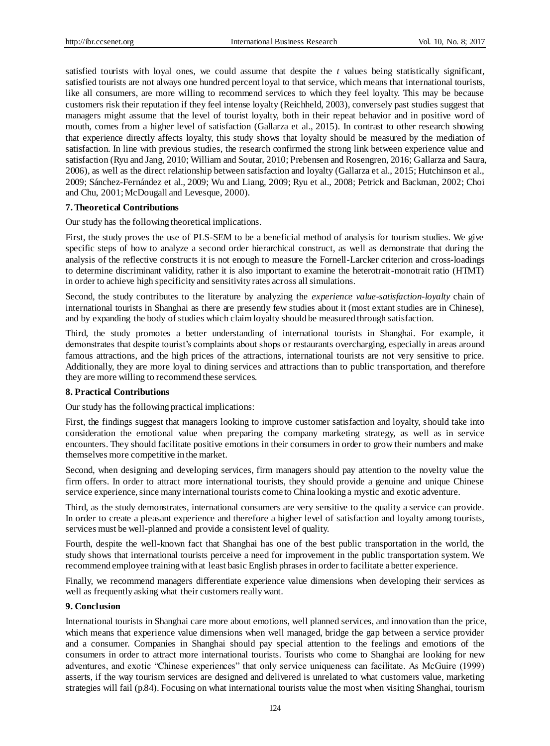satisfied tourists with loyal ones, we could assume that despite the *t* values being statistically significant, satisfied tourists are not always one hundred percent loyal to that service, which means that international tourists, like all consumers, are more willing to recommend services to which they feel loyalty. This may be because customers risk their reputation if they feel intense loyalty (Reichheld, 2003), conversely past studies suggest that managers might assume that the level of tourist loyalty, both in their repeat behavior and in positive word of mouth, comes from a higher level of satisfaction (Gallarza et al., 2015). In contrast to other research showing that experience directly affects loyalty, this study shows that loyalty should be measured by the mediation of satisfaction. In line with previous studies, the research confirmed the strong link between experience value and satisfaction (Ryu and Jang, 2010; William and Soutar, 2010; Prebensen and Rosengren, 2016; Gallarza and Saura, 2006), as well as the direct relationship between satisfaction and loyalty (Gallarza et al., 2015; Hutchinson et al., 2009; Sánchez-Fernández et al., 2009; Wu and Liang, 2009; Ryu et al., 2008; Petrick and Backman, 2002; Choi and Chu, 2001; McDougall and Levesque, 2000).

# **7. Theoretical Contributions**

Our study has the following theoretical implications.

First, the study proves the use of PLS-SEM to be a beneficial method of analysis for tourism studies. We give specific steps of how to analyze a second order hierarchical construct, as well as demonstrate that during the analysis of the reflective constructs it is not enough to measure the Fornell-Larcker criterion and cross-loadings to determine discriminant validity, rather it is also important to examine the heterotrait-monotrait ratio (HTMT) in order to achieve high specificity and sensitivity rates across all simulations.

Second, the study contributes to the literature by analyzing the *experience value-satisfaction-loyalty* chain of international tourists in Shanghai as there are presently few studies about it (most extant studies are in Chinese), and by expanding the body of studies which claim loyalty should be measured through satisfaction.

Third, the study promotes a better understanding of international tourists in Shanghai. For example, it demonstrates that despite tourist's complaints about shops or restaurants overcharging, especially in areas around famous attractions, and the high prices of the attractions, international tourists are not very sensitive to price. Additionally, they are more loyal to dining services and attractions than to public transportation, and therefore they are more willing to recommend these services.

# **8. Practical Contributions**

Our study has the following practical implications:

First, the findings suggest that managers looking to improve customer satisfaction and loyalty, should take into consideration the emotional value when preparing the company marketing strategy, as well as in service encounters. They should facilitate positive emotions in their consumers in order to grow their numbers and make themselves more competitive in the market.

Second, when designing and developing services, firm managers should pay attention to the novelty value the firm offers. In order to attract more international tourists, they should provide a genuine and unique Chinese service experience, since many international tourists come to China looking a mystic and exotic adventure.

Third, as the study demonstrates, international consumers are very sensitive to the quality a service can provide. In order to create a pleasant experience and therefore a higher level of satisfaction and loyalty among tourists, services must be well-planned and provide a consistent level of quality.

Fourth, despite the well-known fact that Shanghai has one of the best public transportation in the world, the study shows that international tourists perceive a need for improvement in the public transportation system. We recommend employee training with at least basic English phrases in order to facilitate a better experience.

Finally, we recommend managers differentiate experience value dimensions when developing their services as well as frequently asking what their customers really want.

# **9. Conclusion**

International tourists in Shanghai care more about emotions, well planned services, and innovation than the price, which means that experience value dimensions when well managed, bridge the gap between a service provider and a consumer. Companies in Shanghai should pay special attention to the feelings and emotions of the consumers in order to attract more international tourists. Tourists who come to Shanghai are looking for new adventures, and exotic "Chinese experiences" that only service uniqueness can facilitate. As McGuire (1999) asserts, if the way tourism services are designed and delivered is unrelated to what customers value, marketing strategies will fail (p.84). Focusing on what international tourists value the most when visiting Shanghai, tourism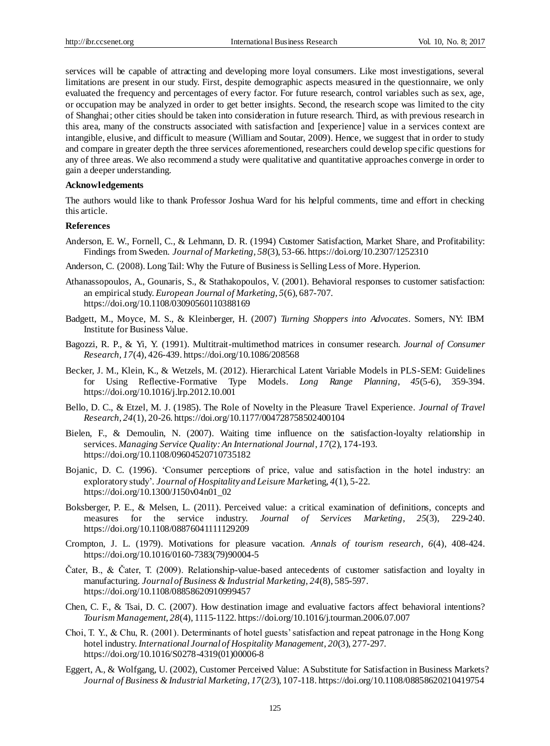services will be capable of attracting and developing more loyal consumers. Like most investigations, several limitations are present in our study. First, despite demographic aspects measured in the questionnaire, we only evaluated the frequency and percentages of every factor. For future research, control variables such as sex, age, or occupation may be analyzed in order to get better insights. Second, the research scope was limited to the city of Shanghai; other cities should be taken into consideration in future research. Third, as with previous research in this area, many of the constructs associated with satisfaction and [experience] value in a services context are intangible, elusive, and difficult to measure (William and Soutar, 2009). Hence, we suggest that in order to study and compare in greater depth the three services aforementioned, researchers could develop specific questions for any of three areas. We also recommend a study were qualitative and quantitative approaches converge in order to gain a deeper understanding.

#### **Acknowledgements**

The authors would like to thank Professor Joshua Ward for his helpful comments, time and effort in checking this article.

#### **References**

- Anderson, E. W., Fornell, C., & Lehmann, D. R. (1994) Customer Satisfaction, Market Share, and Profitability: Findings from Sweden. *Journal of Marketing, 58*(3), 53-66. https://doi.org/10.2307/1252310
- Anderson, C. (2008). Long Tail: Why the Future of Business is Selling Less of More. Hyperion.
- Athanassopoulos, A., Gounaris, S., & Stathakopoulos, V. (2001). Behavioral responses to customer satisfaction: an empirical study. *European Journal of Marketing*, *5*(6), 687-707. https://doi.org/10.1108/03090560110388169
- Badgett, M., Moyce, M. S., & Kleinberger, H. (2007) *Turning Shoppers into Advocates*. Somers, NY: IBM Institute for Business Value.
- Bagozzi, R. P., & Yi, Y. (1991). Multitrait-multimethod matrices in consumer research. *Journal of Consumer Research*, *17*(4), 426-439[. https://doi.org/10.1086/208568](https://doi.org/10.1086/208568)
- Becker, J. M., Klein, K., & Wetzels, M. (2012). Hierarchical Latent Variable Models in PLS-SEM: Guidelines for Using Reflective-Formative Type Models. *Long Range Planning*, *45*(5-6), 359-394. <https://doi.org/10.1016/j.lrp.2012.10.001>
- Bello, D. C., & Etzel, M. J. (1985). The Role of Novelty in the Pleasure Travel Experience. *Journal of Travel Research*, *24*(1), 20-26[. https://doi.org/10.1177/004728758502400104](https://doi.org/10.1177/004728758502400104)
- Bielen, F., & Demoulin, N. (2007). Waiting time influence on the satisfaction-loyalty relationship in services. *Managing Service Quality: An International Journal*, *17*(2), 174-193. https://doi.org/10.1108/09604520710735182
- Bojanic, D. C. (1996). 'Consumer perceptions of price, value and satisfaction in the hotel industry: an exploratory study'. *Journal of Hospitality and Leisure Market*ing, *4*(1), 5-22. https://doi.org/10.1300/J150v04n01\_02
- Boksberger, P. E., & Melsen, L. (2011). Perceived value: a critical examination of definitions, concepts and measures for the service industry. *Journal of Services Marketing*, *25*(3), 229-240. <https://doi.org/10.1108/08876041111129209>
- Crompton, J. L. (1979). Motivations for pleasure vacation. *Annals of tourism research*, *6*(4), 408-424. [https://doi.org/10.1016/0160-7383\(79\)90004-5](https://doi.org/10.1016/0160-7383(79)90004-5)
- Čater, B., & Čater, T. (2009). Relationship-value-based antecedents of customer satisfaction and loyalty in manufacturing. *Journal of Business & Industrial Marketing*, *24*(8), 585-597. https://doi.org/10.1108/08858620910999457
- Chen, C. F., & Tsai, D. C. (2007). How destination image and evaluative factors affect behavioral intentions? *Tourism Management*, *28*(4), 1115-1122. https://doi.org/10.1016/j.tourman.2006.07.007
- Choi, T. Y., & Chu, R. (2001). Determinants of hotel guests' satisfaction and repeat patronage in the Hong Kong hotel industry. *International Journal of Hospitality Management*, *20*(3), 277-297. https://doi.org/10.1016/S0278-4319(01)00006-8
- Eggert, A., & Wolfgang, U. (2002), Customer Perceived Value: A Substitute for Satisfaction in Business Markets? *Journal of Business & Industrial Marketing*, *17*(2/3), 107-118. https://doi.org/10.1108/08858620210419754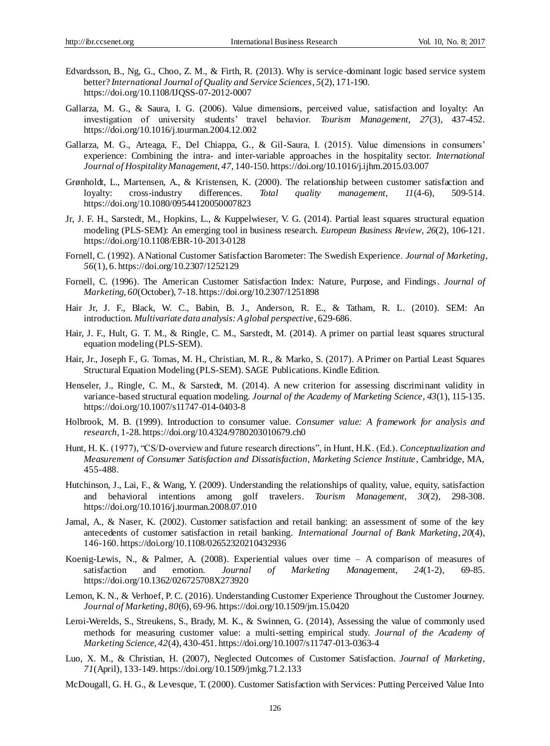- Edvardsson, B., Ng, G., Choo, Z. M., & Firth, R. (2013). Why is service-dominant logic based service system better? *International Journal of Quality and Service Sciences*, *5*(2), 171-190. <https://doi.org/10.1108/IJQSS-07-2012-0007>
- Gallarza, M. G., & Saura, I. G. (2006). Value dimensions, perceived value, satisfaction and loyalty: An investigation of university students' travel behavior. *Tourism Management*, *27*(3), 437-452. <https://doi.org/10.1016/j.tourman.2004.12.002>
- Gallarza, M. G., Arteaga, F., Del Chiappa, G., & Gil-Saura, I. (2015). Value dimensions in consumers' experience: Combining the intra- and inter-variable approaches in the hospitality sector. *International Journal of Hospitality Management*, *47*, 140-150[. https://doi.org/10.1016/j.ijhm.2015.03.007](https://doi.org/10.1016/j.ijhm.2015.03.007)
- Grønholdt, L., Martensen, A., & Kristensen, K. (2000). The relationship between customer satisfaction and loyalty: cross-industry differences. *Total quality management*, *11*(4-6), 509-514. https://doi.org/10.1080/09544120050007823
- Jr, J. F. H., Sarstedt, M., Hopkins, L., & Kuppelwieser, V. G. (2014). Partial least squares structural equation modeling (PLS-SEM): An emerging tool in business research. *European Business Review*, *26*(2), 106-121. <https://doi.org/10.1108/EBR-10-2013-0128>
- Fornell, C. (1992). A National Customer Satisfaction Barometer: The Swedish Experience. *Journal of Marketing*, *56*(1), 6[. https://doi.org/10.2307/1252129](https://doi.org/10.2307/1252129)
- Fornell, C. (1996). The American Customer Satisfaction Index: Nature, Purpose, and Findings. *Journal of Marketing*, *60*(October), 7-18. https://doi.org/10.2307/1251898
- Hair Jr, J. F., Black, W. C., Babin, B. J., Anderson, R. E., & Tatham, R. L. (2010). SEM: An introduction. *Multivariate data analysis: A global perspective*, 629-686.
- Hair, J. F., Hult, G. T. M., & Ringle, C. M., Sarstedt, M. (2014). A primer on partial least squares structural equation modeling (PLS-SEM).
- Hair, Jr., Joseph F., G. Tomas, M. H., Christian, M. R., & Marko, S. (2017). A Primer on Partial Least Squares Structural Equation Modeling (PLS-SEM). SAGE Publications. Kindle Edition.
- Henseler, J., Ringle, C. M., & Sarstedt, M. (2014). A new criterion for assessing discriminant validity in variance-based structural equation modeling. *Journal of the Academy of Marketing Science*, *43*(1), 115-135. <https://doi.org/10.1007/s11747-014-0403-8>
- Holbrook, M. B. (1999). Introduction to consumer value. *Consumer value: A framework for analysis and research*, 1-28. https://doi.org/10.4324/9780203010679.ch0
- Hunt, H. K. (1977), "CS/D-overview and future research directions", in Hunt, H.K. (Ed.). *Conceptualization and Measurement of Consumer Satisfaction and Dissatisfaction, Marketing Science Institute*, Cambridge, MA, 455-488.
- Hutchinson, J., Lai, F., & Wang, Y. (2009). Understanding the relationships of quality, value, equity, satisfaction and behavioral intentions among golf travelers. *Tourism Management*, *30*(2), 298-308. https://doi.org/10.1016/j.tourman.2008.07.010
- Jamal, A., & Naser, K. (2002). Customer satisfaction and retail banking: an assessment of some of the key antecedents of customer satisfaction in retail banking. *International Journal of Bank Marketing*, *20*(4), 146-160. https://doi.org/10.1108/02652320210432936
- Koenig-Lewis, N., & Palmer, A. (2008). Experiential values over time A comparison of measures of satisfaction and emotion. *Journal of Marketing Manag*ement, *24*(1-2), 69-85. https://doi.org/10.1362/026725708X273920
- Lemon, K. N., & Verhoef, P. C. (2016). Understanding Customer Experience Throughout the Customer Journey. *Journal of Marketing*, *80*(6), 69-96[. https://doi.org/10.1509/jm.15.0420](https://doi.org/10.1509/jm.15.0420)
- Leroi-Werelds, S., Streukens, S., Brady, M. K., & Swinnen, G. (2014), Assessing the value of commonly used methods for measuring customer value: a multi-setting empirical study. *Journal of the Academy of Marketing Science*, *42*(4), 430-451. https://doi.org/10.1007/s11747-013-0363-4
- Luo, X. M., & Christian, H. (2007), Neglected Outcomes of Customer Satisfaction. *Journal of Marketing*, *71*(April), 133-149. https://doi.org/10.1509/jmkg.71.2.133
- McDougall, G. H. G., & Levesque, T. (2000). Customer Satisfaction with Services: Putting Perceived Value Into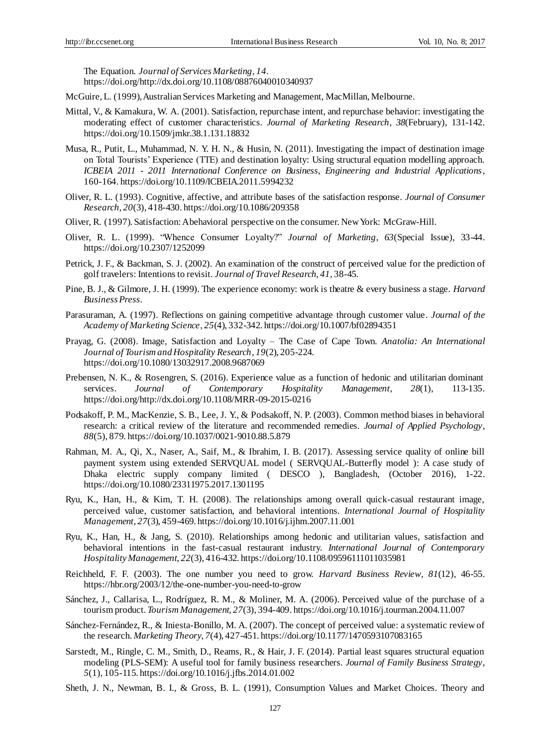The Equation. *Journal of Services Marketing, 14*.

[https://doi.org/http://dx.doi.org/10.1108/08876040010340937](https://doi.org/http:/dx.doi.org/10.1108/08876040010340937)

- McGuire, L. (1999), Australian Services Marketing and Management, MacMillan, Melbourne.
- Mittal, V., & Kamakura, W. A. (2001). Satisfaction, repurchase intent, and repurchase behavior: investigating the moderating effect of customer characteristics. *Journal of Marketing Research, 38*(February), 131-142. https://doi.org/10.1509/jmkr.38.1.131.18832
- Musa, R., Putit, L., Muhammad, N. Y. H. N., & Husin, N. (2011). Investigating the impact of destination image on Total Tourists' Experience (TTE) and destination loyalty: Using structural equation modelling approach. *ICBEIA 2011 - 2011 International Conference on Business, Engineering and Industrial Applications*, 160-164[. https://doi.org/10.1109/ICBEIA.2011.5994232](https://doi.org/10.1109/ICBEIA.2011.5994232)
- Oliver, R. L. (1993). Cognitive, affective, and attribute bases of the satisfaction response. *Journal of Consumer Research*, *20*(3), 418-430. https://doi.org/10.1086/209358
- Oliver, R. (1997). Satisfaction: A behavioral perspective on the consumer. New York: McGraw-Hill.
- Oliver, R. L. (1999). "Whence Consumer Loyalty?" *Journal of Marketing*, *63*(Special Issue), 33-44. https://doi.org/10.2307/1252099
- Petrick, J. F., & Backman, S. J. (2002). An examination of the construct of perceived value for the prediction of golf travelers: Intentions to revisit. *Journal of Travel Research*, *41,* 38-45.
- Pine, B. J., & Gilmore, J. H. (1999). The experience economy: work is theatre & every business a stage. *Harvard Business Press.*
- Parasuraman, A. (1997). Reflections on gaining competitive advantage through customer value. *Journal of the Academy of Marketing Science*, *25*(4), 332-342. https://doi.org/10.1007/bf02894351
- Prayag, G. (2008). Image, Satisfaction and Loyalty The Case of Cape Town. *Anatolia: An International Journal of Tourism and Hospitality Research*, *19*(2), 205-224. https://doi.org/10.1080/13032917.2008.9687069
- Prebensen, N. K., & Rosengren, S. (2016). Experience value as a function of hedonic and utilitarian dominant services. *Journal of Contemporary Hospitality Management*, *28*(1), 113-135. [https://doi.org/http://dx.doi.org/10.1108/MRR-09-2015-0216](https://doi.org/http:/dx.doi.org/10.1108/MRR-09-2015-0216)
- Podsakoff, P. M., MacKenzie, S. B., Lee, J. Y., & Podsakoff, N. P. (2003). Common method biases in behavioral research: a critical review of the literature and recommended remedies. *Journal of Applied Psychology*, *88*(5), 879. https://doi.org/10.1037/0021-9010.88.5.879
- Rahman, M. A., Qi, X., Naser, A., Saif, M., & Ibrahim, I. B. (2017). Assessing service quality of online bill payment system using extended SERVQUAL model ( SERVQUAL-Butterfly model ): A case study of Dhaka electric supply company limited ( DESCO ), Bangladesh, (October 2016), 1-22. https://doi.org/10.1080/23311975.2017.1301195
- Ryu, K., Han, H., & Kim, T. H. (2008). The relationships among overall quick-casual restaurant image, perceived value, customer satisfaction, and behavioral intentions. *International Journal of Hospitality Management*, *27*(3), 459-469. https://doi.org/10.1016/j.ijhm.2007.11.001
- Ryu, K., Han, H., & Jang, S. (2010). Relationships among hedonic and utilitarian values, satisfaction and behavioral intentions in the fast-casual restaurant industry. *International Journal of Contemporary Hospitality Management*, *22*(3), 416-432[. https://doi.org/10.1108/09596111011035981](https://doi.org/10.1108/09596111011035981)
- Reichheld, F. F. (2003). The one number you need to grow. *Harvard Business Review*, *81*(12), 46-55. <https://hbr.org/2003/12/the-one-number-you-need-to-grow>
- Sánchez, J., Callarisa, L., Rodríguez, R. M., & Moliner, M. A. (2006). Perceived value of the purchase of a tourism product. *Tourism Management*, *27*(3), 394-409[. https://doi.org/10.1016/j.tourman.2004.11.007](https://doi.org/10.1016/j.tourman.2004.11.007)
- Sánchez-Fernández, R., & Iniesta-Bonillo, M. A. (2007). The concept of perceived value: a systematic review of the research. *Marketing Theory*, *7*(4), 427-451. https://doi.org/10.1177/1470593107083165
- Sarstedt, M., Ringle, C. M., Smith, D., Reams, R., & Hair, J. F. (2014). Partial least squares structural equation modeling (PLS-SEM): A useful tool for family business researchers. *Journal of Family Business Strategy*, *5*(1), 105-115[. https://doi.org/10.1016/j.jfbs.2014.01.002](https://doi.org/10.1016/j.jfbs.2014.01.002)
- Sheth, J. N., Newman, B. I., & Gross, B. L. (1991), Consumption Values and Market Choices. Theory and